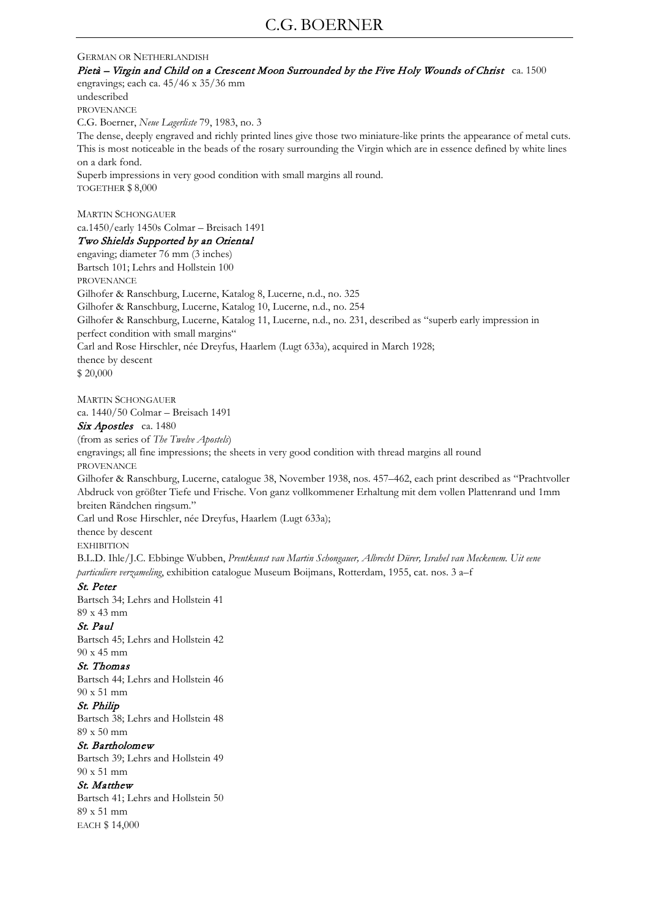#### GERMAN OR NETHERLANDISH

Pietà – Virgin and Child on a Crescent Moon Surrounded by the Five Holy Wounds of Christ ca. 1500 engravings; each ca. 45/46 x 35/36 mm undescribed PROVENANCE C.G. Boerner, *Neue Lagerliste* 79, 1983, no. 3 The dense, deeply engraved and richly printed lines give those two miniature-like prints the appearance of metal cuts. This is most noticeable in the beads of the rosary surrounding the Virgin which are in essence defined by white lines on a dark fond. Superb impressions in very good condition with small margins all round. TOGETHER \$ 8,000 MARTIN SCHONGAUER ca.1450/early 1450s Colmar – Breisach 1491 Two Shields Supported by an Oriental engaving; diameter 76 mm (3 inches) Bartsch 101; Lehrs and Hollstein 100 PROVENANCE Gilhofer & Ranschburg, Lucerne, Katalog 8, Lucerne, n.d., no. 325 Gilhofer & Ranschburg, Lucerne, Katalog 10, Lucerne, n.d., no. 254 Gilhofer & Ranschburg, Lucerne, Katalog 11, Lucerne, n.d., no. 231, described as "superb early impression in perfect condition with small margins" Carl and Rose Hirschler, née Dreyfus, Haarlem (Lugt 633a), acquired in March 1928; thence by descent

\$ 20,000

MARTIN SCHONGAUER ca. 1440/50 Colmar – Breisach 1491

Six Apostles ca. 1480

(from as series of *The Twelve Apostels*)

engravings; all fine impressions; the sheets in very good condition with thread margins all round PROVENANCE

Gilhofer & Ranschburg, Lucerne, catalogue 38, November 1938, nos. 457–462, each print described as "Prachtvoller Abdruck von größter Tiefe und Frische. Von ganz vollkommener Erhaltung mit dem vollen Plattenrand und 1mm breiten Rändchen ringsum."

Carl und Rose Hirschler, née Dreyfus, Haarlem (Lugt 633a);

thence by descent

**EXHIBITION** 

B.L.D. Ihle/J.C. Ebbinge Wubben, *Prentkunst van Martin Schongauer, Albrecht Dürer, Israhel van Meckenem. Uit eene particuliere verzameling*, exhibition catalogue Museum Boijmans, Rotterdam, 1955, cat. nos. 3 a–f

#### St. Peter

Bartsch 34; Lehrs and Hollstein 41 89 x 43 mm

# St. Paul

Bartsch 45; Lehrs and Hollstein 42 90 x 45 mm

#### St. Thomas

Bartsch 44; Lehrs and Hollstein 46 90 x 51 mm

### St. Philip

Bartsch 38; Lehrs and Hollstein 48 89 x 50 mm

#### St. Bartholomew

Bartsch 39; Lehrs and Hollstein 49 90 x 51 mm

### St. Matthew

Bartsch 41; Lehrs and Hollstein 50 89 x 51 mm EACH \$ 14,000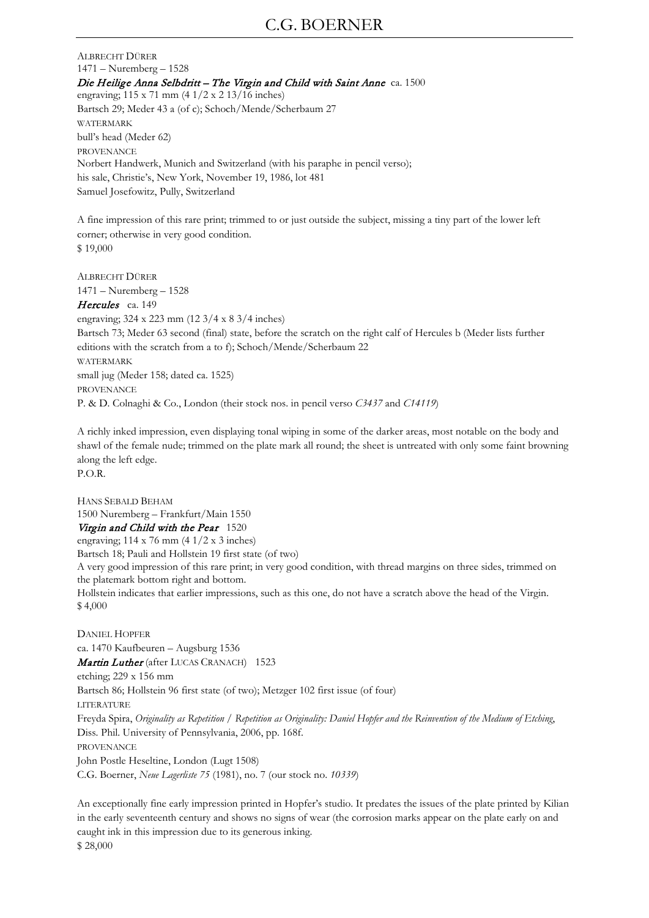## C.G. BOERNER

ALBRECHT DÜRER 1471 – Nuremberg – 1528 Die Heilige Anna Selbdritt – The Virgin and Child with Saint Anne ca. 1500 engraving; 115 x 71 mm (4 1/2 x 2 13/16 inches) Bartsch 29; Meder 43 a (of c); Schoch/Mende/Scherbaum 27 WATERMARK bull's head (Meder 62) PROVENANCE Norbert Handwerk, Munich and Switzerland (with his paraphe in pencil verso); his sale, Christie's, New York, November 19, 1986, lot 481 Samuel Josefowitz, Pully, Switzerland

A fine impression of this rare print; trimmed to or just outside the subject, missing a tiny part of the lower left corner; otherwise in very good condition. \$ 19,000

ALBRECHT DÜRER 1471 – Nuremberg – 1528 Hercules ca. 149 engraving; 324 x 223 mm (12 3/4 x 8 3/4 inches) Bartsch 73; Meder 63 second (final) state, before the scratch on the right calf of Hercules b (Meder lists further editions with the scratch from a to f); Schoch/Mende/Scherbaum 22

WATERMARK small jug (Meder 158; dated ca. 1525)

PROVENANCE

P. & D. Colnaghi & Co., London (their stock nos. in pencil verso *C3437* and *C14119*)

A richly inked impression, even displaying tonal wiping in some of the darker areas, most notable on the body and shawl of the female nude; trimmed on the plate mark all round; the sheet is untreated with only some faint browning along the left edge. P.O.R.

HANS SEBALD BEHAM 1500 Nuremberg – Frankfurt/Main 1550 Virgin and Child with the Pear 1520

engraving; 114 x 76 mm (4 1/2 x 3 inches)

Bartsch 18; Pauli and Hollstein 19 first state (of two)

A very good impression of this rare print; in very good condition, with thread margins on three sides, trimmed on the platemark bottom right and bottom.

Hollstein indicates that earlier impressions, such as this one, do not have a scratch above the head of the Virgin. \$ 4,000

DANIEL HOPFER ca. 1470 Kaufbeuren – Augsburg 1536 Martin Luther (after LUCAS CRANACH) 1523 etching; 229 x 156 mm Bartsch 86; Hollstein 96 first state (of two); Metzger 102 first issue (of four) LITERATURE Freyda Spira, *Originality as Repetition / Repetition as Originality: Daniel Hopfer and the Reinvention of the Medium of Etching*, Diss. Phil. University of Pennsylvania, 2006, pp. 168f. PROVENANCE John Postle Heseltine, London (Lugt 1508) C.G. Boerner, *Neue Lagerliste 75* (1981), no. 7 (our stock no. *10339*)

An exceptionally fine early impression printed in Hopfer's studio. It predates the issues of the plate printed by Kilian in the early seventeenth century and shows no signs of wear (the corrosion marks appear on the plate early on and caught ink in this impression due to its generous inking. \$ 28,000